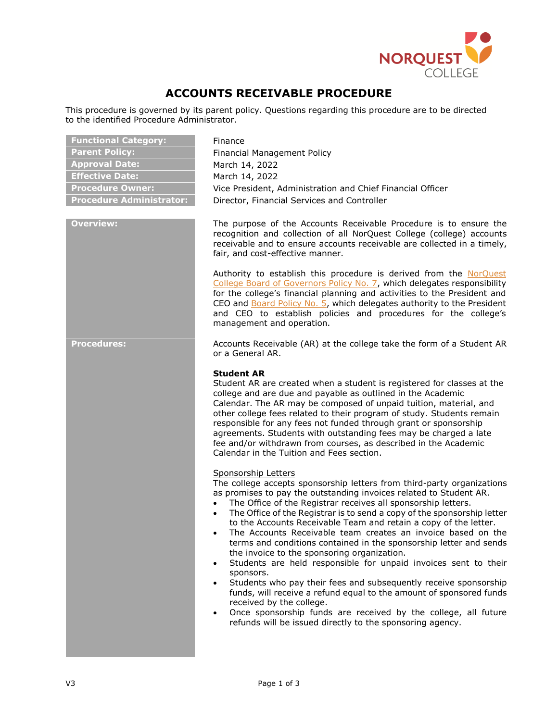

# **ACCOUNTS RECEIVABLE PROCEDURE**

This procedure is governed by its parent policy. Questions regarding this procedure are to be directed to the identified Procedure Administrator.

| <b>Functional Category:</b>     |
|---------------------------------|
| <b>Parent Policy:</b>           |
| <b>Approval Date:</b>           |
| <b>Effective Date:</b>          |
| <b>Procedure Owner:</b>         |
| <b>Procedure Administrator:</b> |

**Finance Parent Policy:** Financial Management Policy **Approval Date:** March 14, 2022 **Effective Date:** March 14, 2022 Vice President, Administration and Chief Financial Officer **Pirector, Financial Services and Controller** 

**Overview:** The purpose of the Accounts Receivable Procedure is to ensure the recognition and collection of all NorQuest College (college) accounts receivable and to ensure accounts receivable are collected in a timely, fair, and cost-effective manner.

> Authority to establish this procedure is derived from the [NorQuest](https://www.norquest.ca/NorquestCollege/media/pdf/about-us/board/policies-procedures/07-Board-Policy_The_President_CEO_Plans_and_Reports_on_College_Financial_Activities.pdf)  [College Board of Governors Policy No. 7,](https://www.norquest.ca/NorquestCollege/media/pdf/about-us/board/policies-procedures/07-Board-Policy_The_President_CEO_Plans_and_Reports_on_College_Financial_Activities.pdf) which delegates responsibility for the college's financial planning and activities to the President and CEO and **Board Policy No. 5**, which delegates authority to the President and CEO to establish policies and procedures for the college's management and operation.

**Procedures:** Accounts Receivable (AR) at the college take the form of a Student AR or a General AR.

# **Student AR**

Student AR are created when a student is registered for classes at the college and are due and payable as outlined in the Academic Calendar. The AR may be composed of unpaid tuition, material, and other college fees related to their program of study. Students remain responsible for any fees not funded through grant or sponsorship agreements. Students with outstanding fees may be charged a late fee and/or withdrawn from courses, as described in the Academic Calendar in the Tuition and Fees section.

### Sponsorship Letters

The college accepts sponsorship letters from third-party organizations as promises to pay the outstanding invoices related to Student AR.

- The Office of the Registrar receives all sponsorship letters.
- The Office of the Registrar is to send a copy of the sponsorship letter to the Accounts Receivable Team and retain a copy of the letter.
- The Accounts Receivable team creates an invoice based on the terms and conditions contained in the sponsorship letter and sends the invoice to the sponsoring organization.
- Students are held responsible for unpaid invoices sent to their sponsors.
- Students who pay their fees and subsequently receive sponsorship funds, will receive a refund equal to the amount of sponsored funds received by the college.
- Once sponsorship funds are received by the college, all future refunds will be issued directly to the sponsoring agency.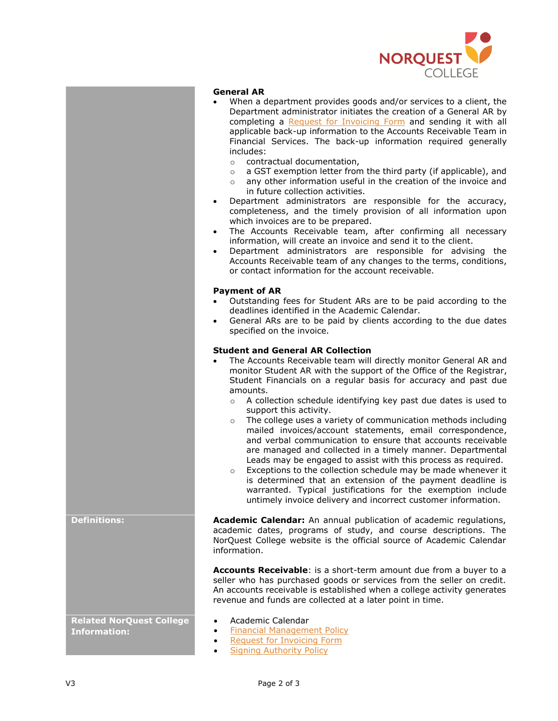

### **General AR**

- When a department provides goods and/or services to a client, the Department administrator initiates the creation of a General AR by completing a [Request for Invoicing Form](http://theq.norquest.ca/Departments/IPBMFS/Public-Documents/Forms/Request-for-Invoicing-used-in-PeopleSoft.aspx) and sending it with all applicable back-up information to the Accounts Receivable Team in Financial Services. The back-up information required generally includes:
	- o contractual documentation,
	- o a GST exemption letter from the third party (if applicable), and
	- o any other information useful in the creation of the invoice and in future collection activities.
- Department administrators are responsible for the accuracy, completeness, and the timely provision of all information upon which invoices are to be prepared.
- The Accounts Receivable team, after confirming all necessary information, will create an invoice and send it to the client.
- Department administrators are responsible for advising the Accounts Receivable team of any changes to the terms, conditions, or contact information for the account receivable.

# **Payment of AR**

- Outstanding fees for Student ARs are to be paid according to the deadlines identified in the Academic Calendar.
- General ARs are to be paid by clients according to the due dates specified on the invoice.

### **Student and General AR Collection**

- The Accounts Receivable team will directly monitor General AR and monitor Student AR with the support of the Office of the Registrar, Student Financials on a regular basis for accuracy and past due amounts.
	- o A collection schedule identifying key past due dates is used to support this activity.
	- o The college uses a variety of communication methods including mailed invoices/account statements, email correspondence, and verbal communication to ensure that accounts receivable are managed and collected in a timely manner. Departmental Leads may be engaged to assist with this process as required.
	- o Exceptions to the collection schedule may be made whenever it is determined that an extension of the payment deadline is warranted. Typical justifications for the exemption include untimely invoice delivery and incorrect customer information.

**Definitions: Academic Calendar:** An annual publication of academic regulations, academic dates, programs of study, and course descriptions. The NorQuest College website is the official source of Academic Calendar information.

> **Accounts Receivable**: is a short-term amount due from a buyer to a seller who has purchased goods or services from the seller on credit. An accounts receivable is established when a college activity generates revenue and funds are collected at a later point in time.

- •• [Academic](http://www.norquest.ca/about-us/calendars-publications.aspx) Calendar
- **[Financial Management Policy](https://www.norquest.ca/about-us/policies-procedures/finance/financial-management-policy.aspx)**
- **[Request for Invoicing Form](http://theq.norquest.ca/Departments/IPBMFS/Public-Documents/Forms/Request-for-Invoicing-used-in-PeopleSoft.aspx)**
- **[Signing Authority Policy](https://www.norquest.ca/about-us/policies-procedures/finance/signing-authority-policy.aspx)**

**Related NorQuest College Information:**